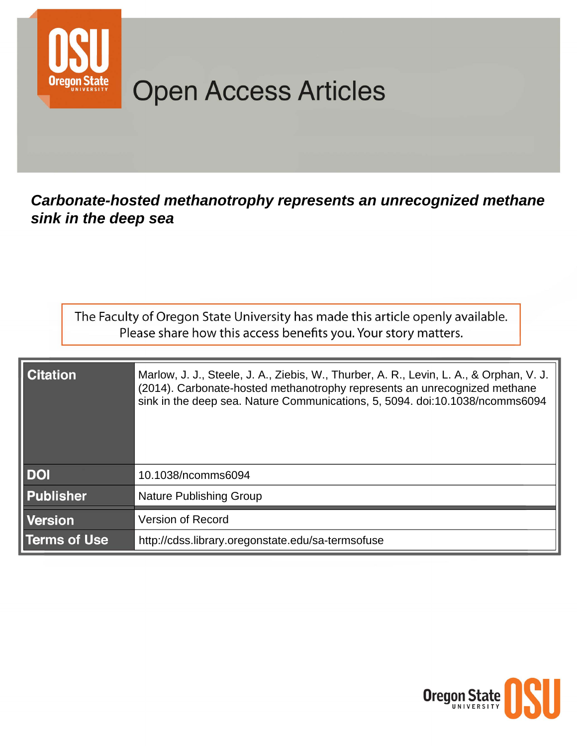

# **Open Access Articles**

## Carbonate-hosted methanotrophy represents an unrecognized methane sink in the deep sea

The Faculty of Oregon State University has made this article openly available. Please share how this access benefits you. Your story matters.

| <b>Citation</b>     | Marlow, J. J., Steele, J. A., Ziebis, W., Thurber, A. R., Levin, L. A., & Orphan, V. J.<br>(2014). Carbonate-hosted methanotrophy represents an unrecognized methane<br>sink in the deep sea. Nature Communications, 5, 5094. doi:10.1038/ncomms6094 |  |  |
|---------------------|------------------------------------------------------------------------------------------------------------------------------------------------------------------------------------------------------------------------------------------------------|--|--|
| <b>DOI</b>          | 10.1038/ncomms6094                                                                                                                                                                                                                                   |  |  |
| <b>Publisher</b>    | <b>Nature Publishing Group</b>                                                                                                                                                                                                                       |  |  |
| <b>Version</b>      | <b>Version of Record</b>                                                                                                                                                                                                                             |  |  |
| <b>Terms of Use</b> | http://cdss.library.oregonstate.edu/sa-termsofuse                                                                                                                                                                                                    |  |  |

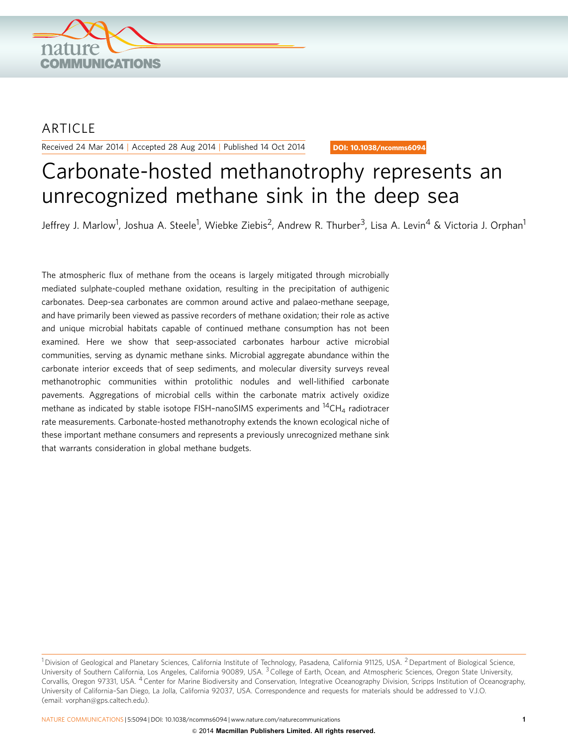

### **ARTICLE**

Received 24 Mar 2014 | Accepted 28 Aug 2014 | Published 14 Oct 2014

DOI: 10.1038/ncomms6094

## Carbonate-hosted methanotrophy represents an unrecognized methane sink in the deep sea

Jeffrey J. Marlow<sup>1</sup>, Joshua A. Steele<sup>1</sup>, Wiebke Ziebis<sup>2</sup>, Andrew R. Thurber<sup>3</sup>, Lisa A. Levin<sup>4</sup> & Victoria J. Orphan<sup>1</sup>

The atmospheric flux of methane from the oceans is largely mitigated through microbially mediated sulphate-coupled methane oxidation, resulting in the precipitation of authigenic carbonates. Deep-sea carbonates are common around active and palaeo-methane seepage, and have primarily been viewed as passive recorders of methane oxidation; their role as active and unique microbial habitats capable of continued methane consumption has not been examined. Here we show that seep-associated carbonates harbour active microbial communities, serving as dynamic methane sinks. Microbial aggregate abundance within the carbonate interior exceeds that of seep sediments, and molecular diversity surveys reveal methanotrophic communities within protolithic nodules and well-lithified carbonate pavements. Aggregations of microbial cells within the carbonate matrix actively oxidize methane as indicated by stable isotope FISH-nanoSIMS experiments and  $^{14}CH_{4}$  radiotracer rate measurements. Carbonate-hosted methanotrophy extends the known ecological niche of these important methane consumers and represents a previously unrecognized methane sink that warrants consideration in global methane budgets.

NATURE COMMUNICATIONS | 5:5094 | DOI: 10.1038/ncomms6094 | [www.nature.com/naturecommunications](http://www.nature.com/naturecommunications) 1

<sup>&</sup>lt;sup>1</sup> Division of Geological and Planetary Sciences, California Institute of Technology, Pasadena, California 91125, USA. <sup>2</sup> Department of Biological Science, University of Southern California, Los Angeles, California 90089, USA. <sup>3</sup> College of Earth, Ocean, and Atmospheric Sciences, Oregon State University, Corvallis, Oregon 97331, USA. <sup>4</sup> Center for Marine Biodiversity and Conservation, Integrative Oceanography Division, Scripps Institution of Oceanography, University of California–San Diego, La Jolla, California 92037, USA. Correspondence and requests for materials should be addressed to V.J.O. (email: [vorphan@gps.caltech.edu\)](mailto:vorphan@gps.caltech.edu).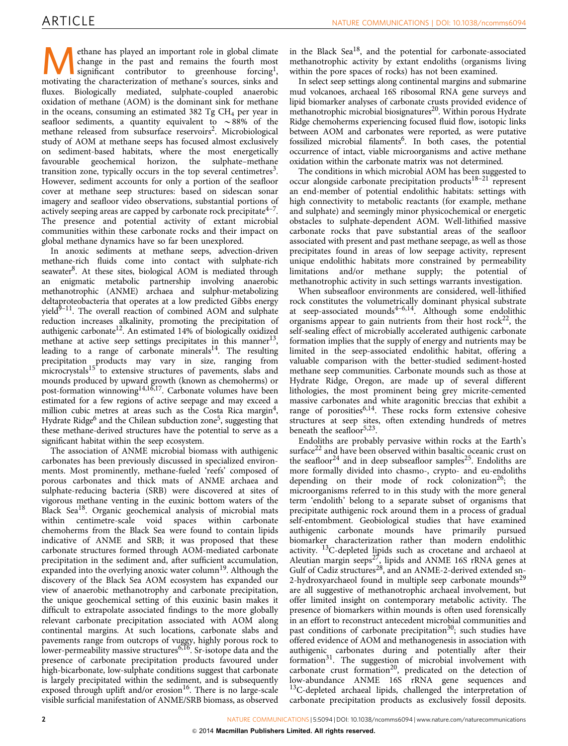whence has played an important role in global climate<br>
significant contributor to greenhouse forcing<sup>1</sup>,<br>
motivating the characterization of methane's sources sinks and change in the past and remains the fourth most motivating the characterization of methane's sources, sinks and fluxes. Biologically mediated, sulphate-coupled anaerobic oxidation of methane (AOM) is the dominant sink for methane in the oceans, consuming an estimated  $382 \text{ Tg } CH_4$  per year in seafloor sediments, a quantity equivalent to  $\sim 88\%$  of the methane released from subsurface reservoirs<sup>[2](#page-10-0)</sup>. Microbiological study of AOM at methane seeps has focused almost exclusively on sediment-based habitats, where the most energetically favourable geochemical horizon, the sulphate–methane transition zone, typically occurs in the top several centimetres<sup>3</sup>. However, sediment accounts for only a portion of the seafloor cover at methane seep structures: based on sidescan sonar imagery and seafloor video observations, substantial portions of actively seeping areas are capped by carbonate rock precipitate  $4-7$ . The presence and potential activity of extant microbial communities within these carbonate rocks and their impact on global methane dynamics have so far been unexplored.

In anoxic sediments at methane seeps, advection-driven methane-rich fluids come into contact with sulphate-rich seawater<sup>8</sup>. At these sites, biological AOM is mediated through an enigmatic metabolic partnership involving anaerobic methanotrophic (ANME) archaea and sulphur-metabolizing deltaproteobacteria that operates at a low predicted Gibbs energy yield $9-11$ . The overall reaction of combined AOM and sulphate reduction increases alkalinity, promoting the precipitation of authigenic carbonate<sup>12</sup>. An estimated 14% of biologically oxidized methane at active seep settings precipitates in this manner<sup>13</sup>, leading to a range of carbonate minerals<sup>14</sup>. The resulting precipitation products may vary in size, ranging from microcrystals<sup>[15](#page-11-0)</sup> to extensive structures of pavements, slabs and mounds produced by upward growth (known as chemoherms) or post-formation winnowing<sup>14,16,17</sup>. Carbonate volumes have been estimated for a few regions of active seepage and may exceed a million cubic metres at areas such as the Costa Rica margin<sup>4</sup>, Hydrate Ridge<sup>[6](#page-10-0)</sup> and the Chilean subduction zone<sup>[5](#page-10-0)</sup>, suggesting that these methane-derived structures have the potential to serve as a significant habitat within the seep ecosystem.

The association of ANME microbial biomass with authigenic carbonates has been previously discussed in specialized environments. Most prominently, methane-fueled 'reefs' composed of porous carbonates and thick mats of ANME archaea and sulphate-reducing bacteria (SRB) were discovered at sites of vigorous methane venting in the euxinic bottom waters of the Black Sea[18](#page-11-0). Organic geochemical analysis of microbial mats within centimetre-scale void spaces within carbonate chemoherms from the Black Sea were found to contain lipids indicative of ANME and SRB; it was proposed that these carbonate structures formed through AOM-mediated carbonate precipitation in the sediment and, after sufficient accumulation, expanded into the overlying anoxic water column<sup>[19](#page-11-0)</sup>. Although the discovery of the Black Sea AOM ecosystem has expanded our view of anaerobic methanotrophy and carbonate precipitation, the unique geochemical setting of this euxinic basin makes it difficult to extrapolate associated findings to the more globally relevant carbonate precipitation associated with AOM along continental margins. At such locations, carbonate slabs and pavements range from outcrops of vuggy, highly porous rock to lower-permeability massive structures<sup>[6,16](#page-10-0)</sup>. Sr-isotope data and the presence of carbonate precipitation products favoured under high-bicarbonate, low-sulphate conditions suggest that carbonate is largely precipitated within the sediment, and is subsequently exposed through uplift and/or erosion<sup>16</sup>. There is no large-scale visible surficial manifestation of ANME/SRB biomass, as observed

in the Black Sea $^{18}$ , and the potential for carbonate-associated methanotrophic activity by extant endoliths (organisms living within the pore spaces of rocks) has not been examined.

In select seep settings along continental margins and submarine mud volcanoes, archaeal 16S ribosomal RNA gene surveys and lipid biomarker analyses of carbonate crusts provided evidence of methanotrophic microbial biosignatures<sup>20</sup>. Within porous Hydrate Ridge chemoherms experiencing focused fluid flow, isotopic links between AOM and carbonates were reported, as were putative fossilized microbial filaments<sup>[6](#page-10-0)</sup>. In both cases, the potential occurrence of intact, viable microorganisms and active methane oxidation within the carbonate matrix was not determined.

The conditions in which microbial AOM has been suggested to occur alongside carbonate precipitation products<sup>18–21</sup> represent an end-member of potential endolithic habitats: settings with high connectivity to metabolic reactants (for example, methane and sulphate) and seemingly minor physicochemical or energetic obstacles to sulphate-dependent AOM. Well-lithified massive carbonate rocks that pave substantial areas of the seafloor associated with present and past methane seepage, as well as those precipitates found in areas of low seepage activity, represent unique endolithic habitats more constrained by permeability limitations and/or methane supply; the potential of methanotrophic activity in such settings warrants investigation.

When subseafloor environments are considered, well-lithified rock constitutes the volumetrically dominant physical substrate at seep-associated mounds<sup>4-6,14</sup>. Although some endolithic organisms appear to gain nutrients from their host  $rock^{22}$ , the self-sealing effect of microbially accelerated authigenic carbonate formation implies that the supply of energy and nutrients may be limited in the seep-associated endolithic habitat, offering a valuable comparison with the better-studied sediment-hosted methane seep communities. Carbonate mounds such as those at Hydrate Ridge, Oregon, are made up of several different lithologies, the most prominent being grey micrite-cemented massive carbonates and white aragonitic breccias that exhibit a range of porosities $6,14$ . These rocks form extensive cohesive structures at seep sites, often extending hundreds of metres beneath the seafloor<sup>5,23</sup>.

Endoliths are probably pervasive within rocks at the Earth's surface<sup>[22](#page-11-0)</sup> and have been observed within basaltic oceanic crust on the seafloor<sup>[24](#page-11-0)</sup> and in deep subseafloor samples<sup>[25](#page-11-0)</sup>. Endoliths are more formally divided into chasmo-, crypto- and eu-endoliths depending on their mode of rock colonization<sup>[26](#page-11-0)</sup>; the microorganisms referred to in this study with the more general term 'endolith' belong to a separate subset of organisms that precipitate authigenic rock around them in a process of gradual self-entombment. Geobiological studies that have examined authigenic carbonate mounds have primarily pursued biomarker characterization rather than modern endolithic activity. 13C-depleted lipids such as crocetane and archaeol at Aleutian margin seeps<sup>27</sup>, lipids and ANME 16S rRNA genes at Gulf of Cadiz structures<sup>[28](#page-11-0)</sup>, and an ANME-2-derived extended sn-2-hydroxyarchaeol found in multiple seep carbonate mounds<sup>[29](#page-11-0)</sup> are all suggestive of methanotrophic archaeal involvement, but offer limited insight on contemporary metabolic activity. The presence of biomarkers within mounds is often used forensically in an effort to reconstruct antecedent microbial communities and past conditions of carbonate precipitation<sup>30</sup>; such studies have offered evidence of AOM and methanogenesis in association with authigenic carbonates during and potentially after their formation<sup>31</sup>. The suggestion of microbial involvement with carbonate crust formation<sup>[20](#page-11-0)</sup>, predicated on the detection of low-abundance ANME 16S rRNA gene sequences and <sup>13</sup>C-depleted archaeal lipids, challenged the interpretation of carbonate precipitation products as exclusively fossil deposits.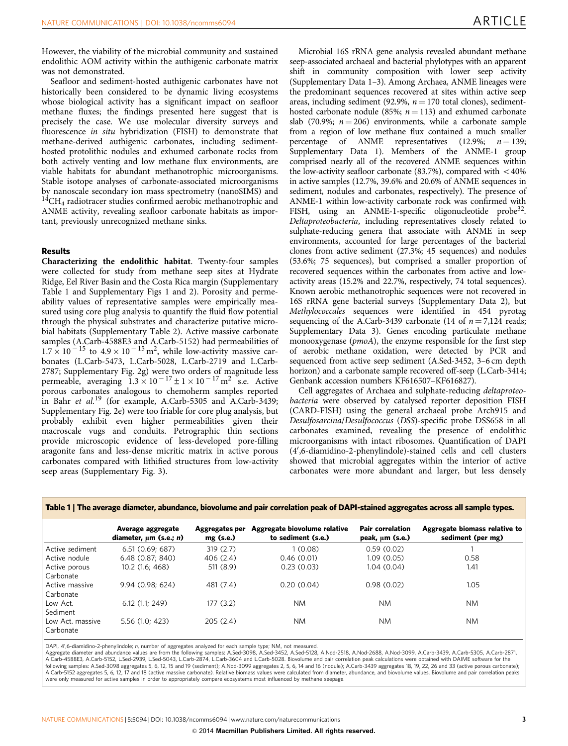<span id="page-3-0"></span>However, the viability of the microbial community and sustained endolithic AOM activity within the authigenic carbonate matrix was not demonstrated.

Seafloor and sediment-hosted authigenic carbonates have not historically been considered to be dynamic living ecosystems whose biological activity has a significant impact on seafloor methane fluxes; the findings presented here suggest that is precisely the case. We use molecular diversity surveys and fluorescence *in situ* hybridization (FISH) to demonstrate that methane-derived authigenic carbonates, including sedimenthosted protolithic nodules and exhumed carbonate rocks from both actively venting and low methane flux environments, are viable habitats for abundant methanotrophic microorganisms. Stable isotope analyses of carbonate-associated microorganisms by nanoscale secondary ion mass spectrometry (nanoSIMS) and  ${}^{14}$ CH<sub>4</sub> radiotracer studies confirmed aerobic methanotrophic and ANME activity, revealing seafloor carbonate habitats as important, previously unrecognized methane sinks.

#### Results

Characterizing the endolithic habitat. Twenty-four samples were collected for study from methane seep sites at Hydrate Ridge, Eel River Basin and the Costa Rica margin (Supplementary Table 1 and Supplementary Figs 1 and 2). Porosity and permeability values of representative samples were empirically measured using core plug analysis to quantify the fluid flow potential through the physical substrates and characterize putative microbial habitats (Supplementary Table 2). Active massive carbonate samples (A.Carb-4588E3 and A.Carb-5152) had permeabilities of  $1.7 \times 10^{-15}$  to  $4.9 \times 10^{-15}$  m<sup>2</sup>, while low-activity massive carbonates (L.Carb-5473, L.Carb-5028, L.Carb-2719 and L.Carb-2787; Supplementary Fig. 2g) were two orders of magnitude less permeable, averaging  $1.3 \times 10^{-17} \pm 1 \times 10^{-17} \text{ m}^2$  s.e. Active porous carbonates analogous to chemoherm samples reported in Bahr et al.<sup>[19](#page-11-0)</sup> (for example, A.Carb-5305 and A.Carb-3439; Supplementary Fig. 2e) were too friable for core plug analysis, but probably exhibit even higher permeabilities given their macroscale vugs and conduits. Petrographic thin sections provide microscopic evidence of less-developed pore-filling aragonite fans and less-dense micritic matrix in active porous carbonates compared with lithified structures from low-activity seep areas (Supplementary Fig. 3).

Microbial 16S rRNA gene analysis revealed abundant methane seep-associated archaeal and bacterial phylotypes with an apparent shift in community composition with lower seep activity (Supplementary Data 1–3). Among Archaea, ANME lineages were the predominant sequences recovered at sites within active seep areas, including sediment (92.9%,  $n = 170$  total clones), sedimenthosted carbonate nodule (85%;  $n = 113$ ) and exhumed carbonate slab (70.9%;  $n = 206$ ) environments, while a carbonate sample from a region of low methane flux contained a much smaller percentage of ANME representatives  $(12.9\%; n = 139;$ Supplementary Data 1). Members of the ANME-1 group comprised nearly all of the recovered ANME sequences within the low-activity seafloor carbonate (83.7%), compared with  $<$  40% in active samples (12.7%, 39.6% and 20.6% of ANME sequences in sediment, nodules and carbonates, respectively). The presence of ANME-1 within low-activity carbonate rock was confirmed with FISH, using an ANME-1-specific oligonucleotide probe<sup>32</sup>. Deltaproteobacteria, including representatives closely related to sulphate-reducing genera that associate with ANME in seep environments, accounted for large percentages of the bacterial clones from active sediment (27.3%; 45 sequences) and nodules (53.6%; 75 sequences), but comprised a smaller proportion of recovered sequences within the carbonates from active and lowactivity areas (15.2% and 22.7%, respectively, 74 total sequences). Known aerobic methanotrophic sequences were not recovered in 16S rRNA gene bacterial surveys (Supplementary Data 2), but Methylococcales sequences were identified in 454 pyrotag sequencing of the A.Carb-3439 carbonate (14 of  $n = 7,124$  reads; Supplementary Data 3). Genes encoding particulate methane monooxygenase (*pmoA*), the enzyme responsible for the first step of aerobic methane oxidation, were detected by PCR and sequenced from active seep sediment (A.Sed-3452, 3–6 cm depth horizon) and a carbonate sample recovered off-seep (L.Carb-3414; Genbank accession numbers KF616507–KF616827).

Cell aggregates of Archaea and sulphate-reducing deltaproteobacteria were observed by catalysed reporter deposition FISH (CARD-FISH) using the general archaeal probe Arch915 and Desulfosarcina/Desulfococcus (DSS)-specific probe DSS658 in all carbonates examined, revealing the presence of endolithic microorganisms with intact ribosomes. Quantification of DAPI (4',6-diamidino-2-phenylindole)-stained cells and cell clusters showed that microbial aggregates within the interior of active carbonates were more abundant and larger, but less densely

|                               | Average aggregate<br>diameter, $\mu$ m (s.e.; <i>n</i> ) | Aggregates per<br>$mg$ (s.e.) | Aggregate biovolume relative<br>to sediment (s.e.) | <b>Pair correlation</b><br>peak, µm (s.e.) | Aggregate biomass relative to<br>sediment (per mg) |
|-------------------------------|----------------------------------------------------------|-------------------------------|----------------------------------------------------|--------------------------------------------|----------------------------------------------------|
| Active sediment               | 6.51(0.69; 687)                                          | 319(2.7)                      | 1(0.08)                                            | 0.59(0.02)                                 |                                                    |
| Active nodule                 | 6.48(0.87; 840)                                          | 406 (2.4)                     | 0.46(0.01)                                         | 1.09(0.05)                                 | 0.58                                               |
| Active porous                 | 10.2 (1.6: 468)                                          | 511(8.9)                      | 0.23(0.03)                                         | 1.04(0.04)                                 | 1.41                                               |
| Carbonate                     |                                                          |                               |                                                    |                                            |                                                    |
| Active massive                | 9.94 (0.98: 624)                                         | 481 (7.4)                     | 0.20(0.04)                                         | 0.98(0.02)                                 | 1.05                                               |
| Carbonate                     |                                                          |                               |                                                    |                                            |                                                    |
| Low Act.                      | 6.12(1.1; 249)                                           | 177(3.2)                      | <b>NM</b>                                          | <b>NM</b>                                  | <b>NM</b>                                          |
| Sediment                      |                                                          |                               |                                                    |                                            |                                                    |
| Low Act. massive<br>Carbonate | 5.56 (1.0: 423)                                          | 205(2.4)                      | NM.                                                | <b>NM</b>                                  | <b>NM</b>                                          |

|  |  | Table 1   The average diameter, abundance, biovolume and pair correlation peak of DAPI-stained aggregates across all sample types. |  |
|--|--|------------------------------------------------------------------------------------------------------------------------------------|--|
|  |  |                                                                                                                                    |  |

DAPI, 4',6-diamidino-2-phenylindole; n, number of aggregates analyzed for each sample type; NM, not measured

Aggregate diameter and abundance values are from the following samples: A.Sed-3098, A.Sed-3452, A.Sed-5128, A.Nod-2518, A.Nod-2688, A.Nod-3099, A.Carb-3439, A.Carb-5305, A.Carb-2871, A.Carb-4588E3, A.Carb-5152, L.Sed-2939, L.Sed-5043, L.Carb-3604, L.Carb-3604 and L.Carb-5028. Biovolume and pair correlation peak calculations were obtained with DAIME software for the<br>A.Carb-4588E3, A.Carb-5152, L.Sed-293 following samples: A.Sed-3098 aggregates 5, 6, 12, 15 and 19 (sediment); A.Nod-3099 aggregates 2, 5, 6, 14 and 16 (nodule); A.Carb-3439 aggregates 18, 19, 22, 26 and 33 (active porous carbonate); A.Carb-5152 aggregates 5, 6, 12, 17 and 18 (active massive carbonate). Relative biomass values were calculated from diameter, abundance, and biovolume values. Biovolume and pair correlation peaks were only measured for active samples in order to appropriately compare ecosystems most influenced by methane seepage.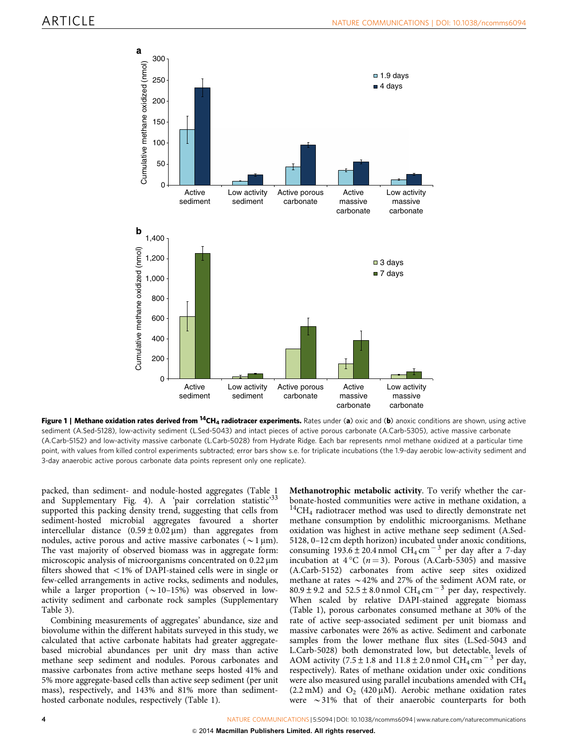<span id="page-4-0"></span>

Figure 1 | Methane oxidation rates derived from <sup>14</sup>CH<sub>4</sub> radiotracer experiments. Rates under (a) oxic and (b) anoxic conditions are shown, using active sediment (A.Sed-5128), low-activity sediment (L.Sed-5043) and intact pieces of active porous carbonate (A.Carb-5305), active massive carbonate (A.Carb-5152) and low-activity massive carbonate (L.Carb-5028) from Hydrate Ridge. Each bar represents nmol methane oxidized at a particular time point, with values from killed control experiments subtracted; error bars show s.e. for triplicate incubations (the 1.9-day aerobic low-activity sediment and 3-day anaerobic active porous carbonate data points represent only one replicate).

packed, than sediment- and nodule-hosted aggregates [\(Table 1](#page-3-0) and Supplementary Fig. 4). A 'pair correlation statistic'<sup>[33](#page-11-0)</sup> supported this packing density trend, suggesting that cells from sediment-hosted microbial aggregates favoured a shorter intercellular distance  $(0.59 \pm 0.02 \,\mu\text{m})$  than aggregates from nodules, active porous and active massive carbonates ( $\sim$ 1 µm). The vast majority of observed biomass was in aggregate form: microscopic analysis of microorganisms concentrated on 0.22  $\mu$ m filters showed that  $\langle 1\%$  of DAPI-stained cells were in single or few-celled arrangements in active rocks, sediments and nodules, while a larger proportion ( $\sim$ 10–15%) was observed in lowactivity sediment and carbonate rock samples (Supplementary Table 3).

Combining measurements of aggregates' abundance, size and biovolume within the different habitats surveyed in this study, we calculated that active carbonate habitats had greater aggregatebased microbial abundances per unit dry mass than active methane seep sediment and nodules. Porous carbonates and massive carbonates from active methane seeps hosted 41% and 5% more aggregate-based cells than active seep sediment (per unit mass), respectively, and 143% and 81% more than sedimenthosted carbonate nodules, respectively ([Table 1\)](#page-3-0).

Methanotrophic metabolic activity. To verify whether the carbonate-hosted communities were active in methane oxidation, a  ${}^{14}$ CH<sub>4</sub> radiotracer method was used to directly demonstrate net methane consumption by endolithic microorganisms. Methane oxidation was highest in active methane seep sediment (A.Sed-5128, 0–12 cm depth horizon) incubated under anoxic conditions, consuming  $193.6 \pm 20.4$  nmol CH<sub>4</sub> cm<sup>-3</sup> per day after a 7-day incubation at  $4^{\circ}C$  ( $n = 3$ ). Porous (A.Carb-5305) and massive (A.Carb-5152) carbonates from active seep sites oxidized methane at rates  $\sim$  42% and 27% of the sediment AOM rate, or 80.9  $\pm$  9.2 and 52.5  $\pm$  8.0 nmol CH<sub>4</sub> cm<sup>-3</sup> per day, respectively. When scaled by relative DAPI-stained aggregate biomass ([Table 1](#page-3-0)), porous carbonates consumed methane at 30% of the rate of active seep-associated sediment per unit biomass and massive carbonates were 26% as active. Sediment and carbonate samples from the lower methane flux sites (L.Sed-5043 and L.Carb-5028) both demonstrated low, but detectable, levels of AOM activity (7.5  $\pm$  1.8 and 11.8  $\pm$  2.0 nmol CH<sub>4</sub> cm<sup>-3</sup> per day, respectively). Rates of methane oxidation under oxic conditions were also measured using parallel incubations amended with CH<sub>4</sub> (2.2 mM) and  $O_2$  (420 µM). Aerobic methane oxidation rates were  $\sim$  31% that of their anaerobic counterparts for both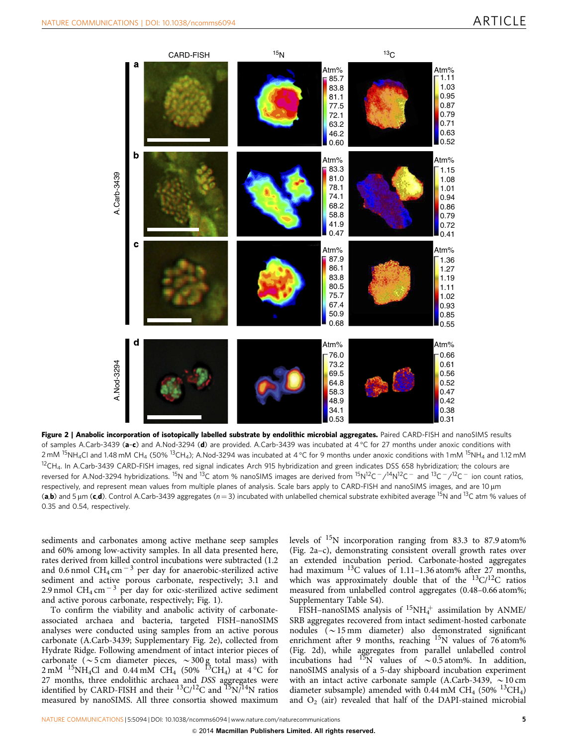<span id="page-5-0"></span>

Figure 2 | Anabolic incorporation of isotopically labelled substrate by endolithic microbial aggregates. Paired CARD-FISH and nanoSIMS results of samples A.Carb-3439 (a-c) and A.Nod-3294 (**d**) are provided. A.Carb-3439 was incubated at 4°C for 27 months under anoxic conditions with 2 mM <sup>15</sup>NH<sub>4</sub>Cl and 1.48 mM CH<sub>4</sub> (50% <sup>13</sup>CH<sub>4</sub>); A.Nod-3294 was incubated at 4 °C for 9 months under anoxic conditions with 1 mM <sup>15</sup>NH<sub>4</sub> and 1.12 mM  $12CH_4$ . In A.Carb-3439 CARD-FISH images, red signal indicates Arch 915 hybridization and green indicates DSS 658 hybridization; the colours are reversed for A.Nod-3294 hybridizations. <sup>15</sup>N and <sup>13</sup>C atom % nanoSIMS images are derived from <sup>15</sup>N<sup>12</sup>C  $1/4$ N<sup>12</sup>C <sup>-</sup> and <sup>13</sup>C  $-1/2$ <sup>2</sup>C <sup>-</sup> ion count ratios, respectively, and represent mean values from multiple planes of analysis. Scale bars apply to CARD-FISH and nanoSIMS images, and are 10 µm (a,b) and 5 µm (c,d). Control A.Carb-3439 aggregates (n = 3) incubated with unlabelled chemical substrate exhibited average <sup>15</sup>N and <sup>13</sup>C atm % values of 0.35 and 0.54, respectively.

sediments and carbonates among active methane seep samples and 60% among low-activity samples. In all data presented here, rates derived from killed control incubations were subtracted (1.2 and 0.6 nmol  $CH_4 \text{ cm}^{-3}$  per day for anaerobic-sterilized active sediment and active porous carbonate, respectively; 3.1 and 2.9 nmol  $CH_4 \text{ cm}^{-3}$  per day for oxic-sterilized active sediment and active porous carbonate, respectively; [Fig. 1](#page-4-0)).

To confirm the viability and anabolic activity of carbonateassociated archaea and bacteria, targeted FISH–nanoSIMS analyses were conducted using samples from an active porous carbonate (A.Carb-3439; Supplementary Fig. 2e), collected from Hydrate Ridge. Following amendment of intact interior pieces of carbonate ( $\sim$ 5 cm diameter pieces,  $\sim$ 300 g total mass) with  $2 \text{ mM } ^{15}\text{NH}_4\text{Cl}$  and  $0.44 \text{ mM } ^{15}\text{CH}_4$  (50%  $^{13}\text{CH}_4$ ) at 4 °C for 27 months, three endolithic archaea and DSS aggregates were identified by CARD-FISH and their  ${}^{13}C/{}^{12}C$  and  ${}^{15}N/{}^{14}N$  ratios measured by nanoSIMS. All three consortia showed maximum levels of 15N incorporation ranging from 83.3 to 87.9 atom% (Fig. 2a–c), demonstrating consistent overall growth rates over an extended incubation period. Carbonate-hosted aggregates had maximum <sup>13</sup>C values of 1.11–1.36 atom% after 27 months, which was approximately double that of the  ${}^{13}C/{}^{12}C$  ratios measured from unlabelled control aggregates (0.48–0.66 atom%; Supplementary Table S4).

FISH-nanoSIMS analysis of  $15NH_4^+$  assimilation by ANME/ SRB aggregates recovered from intact sediment-hosted carbonate nodules  $(\sim 15 \text{ mm}$  diameter) also demonstrated significant enrichment after 9 months, reaching <sup>15</sup>N values of 76 atom% (Fig. 2d), while aggregates from parallel unlabelled control incubations had <sup>15</sup>N values of  $\sim$  0.5 atom%. In addition, nanoSIMS analysis of a 5-day shipboard incubation experiment with an intact active carbonate sample (A.Carb-3439,  $\sim$  10 cm diameter subsample) amended with 0.44 mM CH<sub>4</sub> (50% <sup>13</sup>CH<sub>4</sub>) and  $O<sub>2</sub>$  (air) revealed that half of the DAPI-stained microbial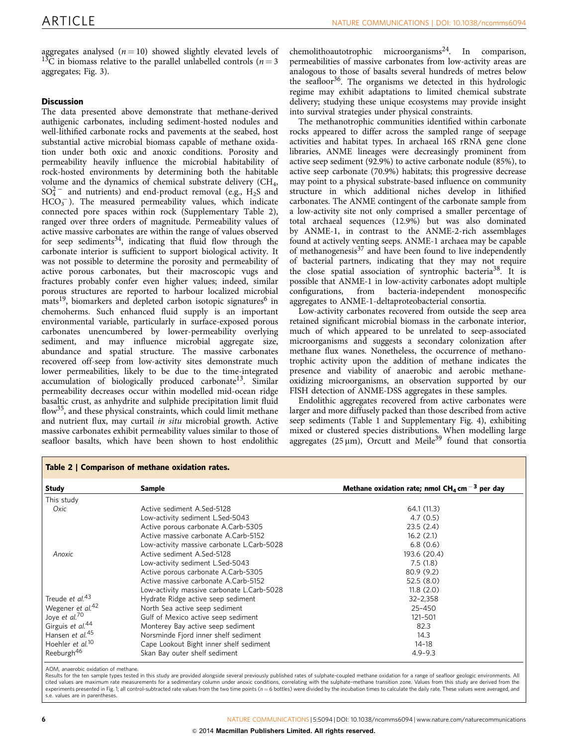<span id="page-6-0"></span>aggregates analysed ( $n = 10$ ) showed slightly elevated levels of <sup>13</sup>C in biomass relative to the parallel unlabelled controls ( $n = 3$ ) aggregates; [Fig. 3](#page-7-0)).

### **Discussion**

The data presented above demonstrate that methane-derived authigenic carbonates, including sediment-hosted nodules and well-lithified carbonate rocks and pavements at the seabed, host substantial active microbial biomass capable of methane oxidation under both oxic and anoxic conditions. Porosity and permeability heavily influence the microbial habitability of rock-hosted environments by determining both the habitable volume and the dynamics of chemical substrate delivery (CH4,  $SO_4^{2-}$  and nutrients) and end-product removal (e.g.,  $H_2S$  and  $HCO<sub>3</sub><sup>-</sup>$ ). The measured permeability values, which indicate connected pore spaces within rock (Supplementary Table 2), ranged over three orders of magnitude. Permeability values of active massive carbonates are within the range of values observed for seep sediments<sup>[34](#page-11-0)</sup>, indicating that fluid flow through the carbonate interior is sufficient to support biological activity. It was not possible to determine the porosity and permeability of active porous carbonates, but their macroscopic vugs and fractures probably confer even higher values; indeed, similar porous structures are reported to harbour localized microbial  $mats<sup>19</sup>$ , biomarkers and depleted carbon isotopic signatures<sup>[6](#page-10-0)</sup> in chemoherms. Such enhanced fluid supply is an important environmental variable, particularly in surface-exposed porous carbonates unencumbered by lower-permeability overlying sediment, and may influence microbial aggregate size, abundance and spatial structure. The massive carbonates recovered off-seep from low-activity sites demonstrate much lower permeabilities, likely to be due to the time-integrated accumulation of biologically produced carbonate<sup>[13](#page-10-0)</sup>. Similar permeability decreases occur within modelled mid-ocean ridge basaltic crust, as anhydrite and sulphide precipitation limit fluid flow<sup>[35](#page-11-0)</sup>, and these physical constraints, which could limit methane and nutrient flux, may curtail in situ microbial growth. Active massive carbonates exhibit permeability values similar to those of seafloor basalts, which have been shown to host endolithic

chemolithoautotrophic microorganisms<sup>24</sup>. In comparison, permeabilities of massive carbonates from low-activity areas are analogous to those of basalts several hundreds of metres below the seafloor<sup>[36](#page-11-0)</sup>. The organisms we detected in this hydrologic regime may exhibit adaptations to limited chemical substrate delivery; studying these unique ecosystems may provide insight into survival strategies under physical constraints.

The methanotrophic communities identified within carbonate rocks appeared to differ across the sampled range of seepage activities and habitat types. In archaeal 16S rRNA gene clone libraries, ANME lineages were decreasingly prominent from active seep sediment (92.9%) to active carbonate nodule (85%), to active seep carbonate (70.9%) habitats; this progressive decrease may point to a physical substrate-based influence on community structure in which additional niches develop in lithified carbonates. The ANME contingent of the carbonate sample from a low-activity site not only comprised a smaller percentage of total archaeal sequences (12.9%) but was also dominated by ANME-1, in contrast to the ANME-2-rich assemblages found at actively venting seeps. ANME-1 archaea may be capable of methanogenesis $37$  and have been found to live independently of bacterial partners, indicating that they may not require the close spatial association of syntrophic bacteria<sup>[38](#page-11-0)</sup>. It is possible that ANME-1 in low-activity carbonates adopt multiple bacteria-independent aggregates to ANME-1-deltaproteobacterial consortia.

Low-activity carbonates recovered from outside the seep area retained significant microbial biomass in the carbonate interior, much of which appeared to be unrelated to seep-associated microorganisms and suggests a secondary colonization after methane flux wanes. Nonetheless, the occurrence of methanotrophic activity upon the addition of methane indicates the presence and viability of anaerobic and aerobic methaneoxidizing microorganisms, an observation supported by our FISH detection of ANME-DSS aggregates in these samples.

Endolithic aggregates recovered from active carbonates were larger and more diffusely packed than those described from active seep sediments [\(Table 1](#page-3-0) and Supplementary Fig. 4), exhibiting mixed or clustered species distributions. When modelling large aggregates ( $25 \mu m$ ), Orcutt and Meile<sup>[39](#page-11-0)</sup> found that consortia

| Table 2   Comparison of methane oxidation rates.                                                                         |                                                                                                                                                                                                                                                                                                                                              |                                                                                                                     |  |  |  |
|--------------------------------------------------------------------------------------------------------------------------|----------------------------------------------------------------------------------------------------------------------------------------------------------------------------------------------------------------------------------------------------------------------------------------------------------------------------------------------|---------------------------------------------------------------------------------------------------------------------|--|--|--|
| <b>Study</b>                                                                                                             | <b>Sample</b>                                                                                                                                                                                                                                                                                                                                | Methane oxidation rate; nmol $CH4$ cm <sup>-3</sup> per day                                                         |  |  |  |
| This study                                                                                                               |                                                                                                                                                                                                                                                                                                                                              |                                                                                                                     |  |  |  |
| Oxic<br>Anoxic                                                                                                           | Active sediment A.Sed-5128<br>Low-activity sediment L.Sed-5043<br>Active porous carbonate A.Carb-5305<br>Active massive carbonate A.Carb-5152<br>Low-activity massive carbonate L.Carb-5028<br>Active sediment A.Sed-5128<br>Low-activity sediment L.Sed-5043<br>Active porous carbonate A.Carb-5305<br>Active massive carbonate A.Carb-5152 | 64.1 (11.3)<br>4.7(0.5)<br>23.5(2.4)<br>16.2(2.1)<br>6.8(0.6)<br>193.6 (20.4)<br>7.5(1.8)<br>80.9(9.2)<br>52.5(8.0) |  |  |  |
| Treude et al. <sup>43</sup><br>Wegener et al. <sup>42</sup><br>Joye et al. <sup>70</sup><br>Girguis et al. <sup>44</sup> | Low-activity massive carbonate L.Carb-5028<br>Hydrate Ridge active seep sediment<br>North Sea active seep sediment<br>Gulf of Mexico active seep sediment<br>Monterey Bay active seep sediment                                                                                                                                               | 11.8(2.0)<br>$32 - 2,358$<br>$25 - 450$<br>121-501<br>82.3                                                          |  |  |  |
| Hansen et al. <sup>45</sup><br>Hoehler et al. <sup>10</sup><br>Reeburgh <sup>46</sup>                                    | Norsminde Fjord inner shelf sediment<br>Cape Lookout Bight inner shelf sediment<br>Skan Bay outer shelf sediment                                                                                                                                                                                                                             | 14.3<br>$14 - 18$<br>$4.9 - 9.3$                                                                                    |  |  |  |

AOM, anaerobic oxidation of methane.

Results for the ten sample types tested in this study are provided alongside several previously published rates of sulphate-coupled methane oxidation for a range of seafloor geologic environments. All cited values are maximum rate measurements for a sedimentary column under anoxic conditions, correlating with the sulphate-methane transition zone. Values from this study are derived from the<br>experiments presented in Fig. s.e. values are in parentheses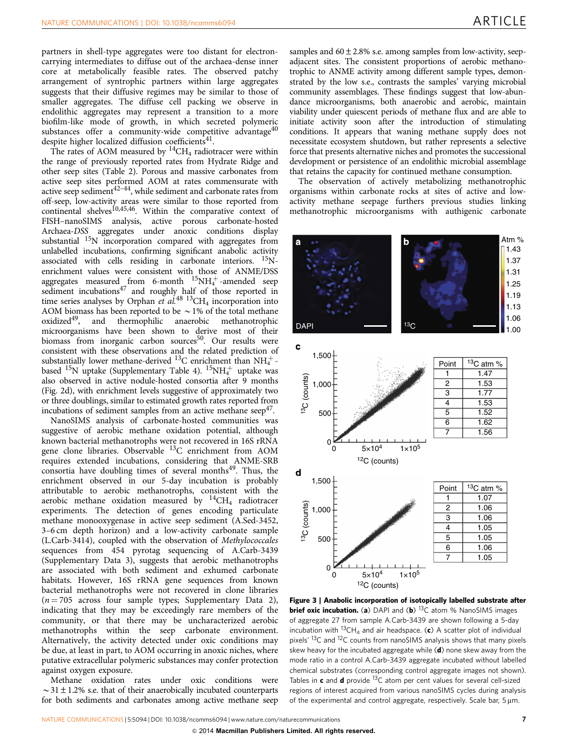<span id="page-7-0"></span>partners in shell-type aggregates were too distant for electroncarrying intermediates to diffuse out of the archaea-dense inner core at metabolically feasible rates. The observed patchy arrangement of syntrophic partners within large aggregates suggests that their diffusive regimes may be similar to those of smaller aggregates. The diffuse cell packing we observe in endolithic aggregates may represent a transition to a more biofilm-like mode of growth, in which secreted polymeric substances offer a community-wide competitive advantage<sup>[40](#page-11-0)</sup> despite higher localized diffusion coefficients $41$ .

The rates of AOM measured by  ${}^{14}CH_4$  radiotracer were within the range of previously reported rates from Hydrate Ridge and other seep sites [\(Table 2](#page-6-0)). Porous and massive carbonates from active seep sites performed AOM at rates commensurate with active seep sediment $4^{2-44}$ , while sediment and carbonate rates from off-seep, low-activity areas were similar to those reported from continental shelves<sup>10,45,46</sup>. Within the comparative context of FISH–nanoSIMS analysis, active porous carbonate-hosted Archaea-DSS aggregates under anoxic conditions display substantial <sup>15</sup>N incorporation compared with aggregates from unlabelled incubations, confirming significant anabolic activity associated with cells residing in carbonate interiors. 15Nenrichment values were consistent with those of ANME/DSS aggregates measured from 6-month  $^{15}NH_4^+$ -amended seep sediment incubations<sup>[47](#page-11-0)</sup> and roughly half of those reported in time series analyses by Orphan et  $a\hat{l}$ <sup>[48](#page-11-0) 13</sup>CH<sub>4</sub> incorporation into AOM biomass has been reported to be  $\sim$  1% of the total methane<br>oxidized<sup>49</sup>, and thermophilic anaerobic methanotrophic thermophilic anaerobic methanotrophic microorganisms have been shown to derive most of their biomass from inorganic carbon sources<sup>50</sup>. Our results were consistent with these observations and the related prediction of substantially lower methane-derived  $^{13}$ C enrichment than NH<sub>4</sub><sup>+</sup>based  $^{15}{\rm N}$  uptake (Supplementary Table 4).  $^{15}{\rm NH_4^+}$  uptake was also observed in active nodule-hosted consortia after 9 months ([Fig. 2d\)](#page-5-0), with enrichment levels suggestive of approximately two or three doublings, similar to estimated growth rates reported from incubations of sediment samples from an active methane  $\text{see } 4^7$ .

NanoSIMS analysis of carbonate-hosted communities was suggestive of aerobic methane oxidation potential, although known bacterial methanotrophs were not recovered in 16S rRNA gene clone libraries. Observable 13C enrichment from AOM requires extended incubations, considering that ANME-SRB consortia have doubling times of several months[49](#page-11-0). Thus, the enrichment observed in our 5-day incubation is probably attributable to aerobic methanotrophs, consistent with the aerobic methane oxidation measured by  $^{14}CH_4$  radiotracer experiments. The detection of genes encoding particulate methane monooxygenase in active seep sediment (A.Sed-3452, 3–6 cm depth horizon) and a low-activity carbonate sample (L.Carb-3414), coupled with the observation of Methylococcales sequences from 454 pyrotag sequencing of A.Carb-3439 (Supplementary Data 3), suggests that aerobic methanotrophs are associated with both sediment and exhumed carbonate habitats. However, 16S rRNA gene sequences from known bacterial methanotrophs were not recovered in clone libraries  $(n = 705$  across four sample types; Supplementary Data 2), indicating that they may be exceedingly rare members of the community, or that there may be uncharacterized aerobic methanotrophs within the seep carbonate environment. Alternatively, the activity detected under oxic conditions may be due, at least in part, to AOM occurring in anoxic niches, where putative extracellular polymeric substances may confer protection against oxygen exposure.

Methane oxidation rates under oxic conditions were  $\sim$  31  $\pm$  1.2% s.e. that of their anaerobically incubated counterparts for both sediments and carbonates among active methane seep samples and  $60 \pm 2.8\%$  s.e. among samples from low-activity, seepadjacent sites. The consistent proportions of aerobic methanotrophic to ANME activity among different sample types, demonstrated by the low s.e., contrasts the samples' varying microbial community assemblages. These findings suggest that low-abundance microorganisms, both anaerobic and aerobic, maintain viability under quiescent periods of methane flux and are able to initiate activity soon after the introduction of stimulating conditions. It appears that waning methane supply does not necessitate ecosystem shutdown, but rather represents a selective force that presents alternative niches and promotes the successional development or persistence of an endolithic microbial assemblage that retains the capacity for continued methane consumption.

The observation of actively metabolizing methanotrophic organisms within carbonate rocks at sites of active and lowactivity methane seepage furthers previous studies linking methanotrophic microorganisms with authigenic carbonate



Figure 3 | Anabolic incorporation of isotopically labelled substrate after brief oxic incubation. (a) DAPI and (b) <sup>13</sup>C atom % NanoSIMS images of aggregate 27 from sample A.Carb-3439 are shown following a 5-day incubation with <sup>13</sup>CH<sub>4</sub> and air headspace. (c) A scatter plot of individual pixels' 13C and 12C counts from nanoSIMS analysis shows that many pixels skew heavy for the incubated aggregate while (d) none skew away from the mode ratio in a control A.Carb-3439 aggregate incubated without labelled chemical substrates (corresponding control aggregate images not shown). Tables in  $c$  and  $d$  provide  $^{13}C$  atom per cent values for several cell-sized regions of interest acquired from various nanoSIMS cycles during analysis of the experimental and control aggregate, respectively. Scale bar,  $5 \mu m$ .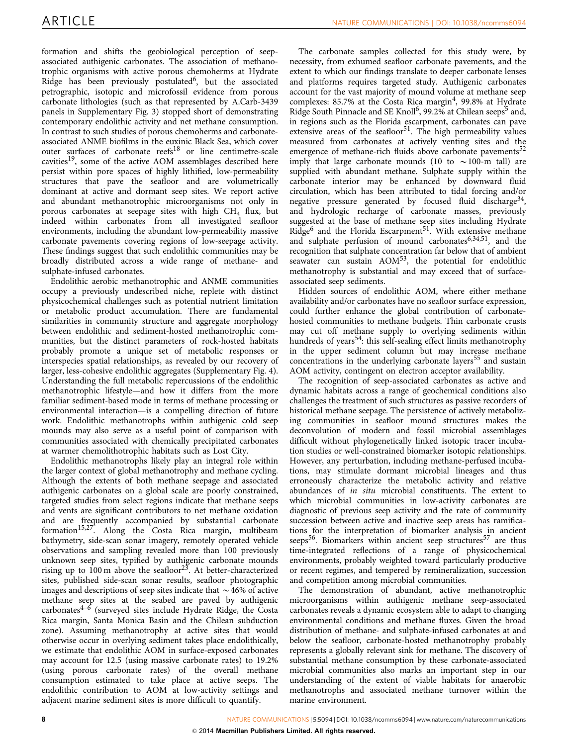formation and shifts the geobiological perception of seepassociated authigenic carbonates. The association of methanotrophic organisms with active porous chemoherms at Hydrate Ridge has been previously postulated<sup>6</sup>, but the associated petrographic, isotopic and microfossil evidence from porous carbonate lithologies (such as that represented by A.Carb-3439 panels in Supplementary Fig. 3) stopped short of demonstrating contemporary endolithic activity and net methane consumption. In contrast to such studies of porous chemoherms and carbonateassociated ANME biofilms in the euxinic Black Sea, which cover outer surfaces of carbonate reefs<sup>[18](#page-11-0)</sup> or line centimetre-scale cavities<sup>19</sup>, some of the active AOM assemblages described here persist within pore spaces of highly lithified, low-permeability structures that pave the seafloor and are volumetrically dominant at active and dormant seep sites. We report active and abundant methanotrophic microorganisms not only in porous carbonates at seepage sites with high CH<sub>4</sub> flux, but indeed within carbonates from all investigated seafloor environments, including the abundant low-permeability massive carbonate pavements covering regions of low-seepage activity. These findings suggest that such endolithic communities may be broadly distributed across a wide range of methane- and sulphate-infused carbonates.

Endolithic aerobic methanotrophic and ANME communities occupy a previously undescribed niche, replete with distinct physicochemical challenges such as potential nutrient limitation or metabolic product accumulation. There are fundamental similarities in community structure and aggregate morphology between endolithic and sediment-hosted methanotrophic communities, but the distinct parameters of rock-hosted habitats probably promote a unique set of metabolic responses or interspecies spatial relationships, as revealed by our recovery of larger, less-cohesive endolithic aggregates (Supplementary Fig. 4). Understanding the full metabolic repercussions of the endolithic methanotrophic lifestyle—and how it differs from the more familiar sediment-based mode in terms of methane processing or environmental interaction—is a compelling direction of future work. Endolithic methanotrophs within authigenic cold seep mounds may also serve as a useful point of comparison with communities associated with chemically precipitated carbonates at warmer chemolithotrophic habitats such as Lost City.

Endolithic methanotrophs likely play an integral role within the larger context of global methanotrophy and methane cycling. Although the extents of both methane seepage and associated authigenic carbonates on a global scale are poorly constrained, targeted studies from select regions indicate that methane seeps and vents are significant contributors to net methane oxidation and are frequently accompanied by substantial carbonate formation[15,27.](#page-11-0) Along the Costa Rica margin, multibeam bathymetry, side-scan sonar imagery, remotely operated vehicle observations and sampling revealed more than 100 previously unknown seep sites, typified by authigenic carbonate mounds rising up to  $100 \text{ m}$  above the seafloor<sup>23</sup>. At better-characterized sites, published side-scan sonar results, seafloor photographic images and descriptions of seep sites indicate that  $\sim$  46% of active methane seep sites at the seabed are paved by authigenic carbonates $4-6$  (surveyed sites include Hydrate Ridge, the Costa Rica margin, Santa Monica Basin and the Chilean subduction zone). Assuming methanotrophy at active sites that would otherwise occur in overlying sediment takes place endolithically, we estimate that endolithic AOM in surface-exposed carbonates may account for 12.5 (using massive carbonate rates) to 19.2% (using porous carbonate rates) of the overall methane consumption estimated to take place at active seeps. The endolithic contribution to AOM at low-activity settings and adjacent marine sediment sites is more difficult to quantify.

The carbonate samples collected for this study were, by necessity, from exhumed seafloor carbonate pavements, and the extent to which our findings translate to deeper carbonate lenses and platforms requires targeted study. Authigenic carbonates account for the vast majority of mound volume at methane seep complexes: 85.7% at the Costa Rica margin<sup>4</sup>, 99.8% at Hydrate Ridge South Pinnacle and SE Knoll<sup>[6](#page-10-0)</sup>, 99.2% at Chilean seeps<sup>[5](#page-10-0)</sup> and, in regions such as the Florida escarpment, carbonates can pave extensive areas of the seafloor<sup>51</sup>. The high permeability values measured from carbonates at actively venting sites and the emergence of methane-rich fluids above carbonate pavements<sup>[52](#page-11-0)</sup> imply that large carbonate mounds (10 to  $\sim$  100-m tall) are supplied with abundant methane. Sulphate supply within the carbonate interior may be enhanced by downward fluid circulation, which has been attributed to tidal forcing and/or negative pressure generated by focused fluid discharge<sup>34</sup>, and hydrologic recharge of carbonate masses, previously suggested at the base of methane seep sites including Hydrate Ridge<sup>[6](#page-10-0)</sup> and the Florida Escarpment<sup>[51](#page-11-0)</sup>. With extensive methane and sulphate perfusion of mound carbonates<sup>6,34,51</sup>, and the recognition that sulphate concentration far below that of ambient seawater can sustain  $AOM<sup>53</sup>$ , the potential for endolithic methanotrophy is substantial and may exceed that of surfaceassociated seep sediments.

Hidden sources of endolithic AOM, where either methane availability and/or carbonates have no seafloor surface expression, could further enhance the global contribution of carbonatehosted communities to methane budgets. Thin carbonate crusts may cut off methane supply to overlying sediments within hundreds of years<sup>[54](#page-11-0)</sup>: this self-sealing effect limits methanotrophy in the upper sediment column but may increase methane  $concentrations$  in the underlying carbonate layers<sup>[55](#page-11-0)</sup> and sustain AOM activity, contingent on electron acceptor availability.

The recognition of seep-associated carbonates as active and dynamic habitats across a range of geochemical conditions also challenges the treatment of such structures as passive recorders of historical methane seepage. The persistence of actively metabolizing communities in seafloor mound structures makes the deconvolution of modern and fossil microbial assemblages difficult without phylogenetically linked isotopic tracer incubation studies or well-constrained biomarker isotopic relationships. However, any perturbation, including methane-perfused incubations, may stimulate dormant microbial lineages and thus erroneously characterize the metabolic activity and relative abundances of in situ microbial constituents. The extent to which microbial communities in low-activity carbonates are diagnostic of previous seep activity and the rate of community succession between active and inactive seep areas has ramifications for the interpretation of biomarker analysis in ancient seeps<sup>56</sup>. Biomarkers within ancient seep structures<sup>[57](#page-11-0)</sup> are thus time-integrated reflections of a range of physicochemical environments, probably weighted toward particularly productive or recent regimes, and tempered by remineralization, succession and competition among microbial communities.

The demonstration of abundant, active methanotrophic microorganisms within authigenic methane seep-associated carbonates reveals a dynamic ecosystem able to adapt to changing environmental conditions and methane fluxes. Given the broad distribution of methane- and sulphate-infused carbonates at and below the seafloor, carbonate-hosted methanotrophy probably represents a globally relevant sink for methane. The discovery of substantial methane consumption by these carbonate-associated microbial communities also marks an important step in our understanding of the extent of viable habitats for anaerobic methanotrophs and associated methane turnover within the marine environment.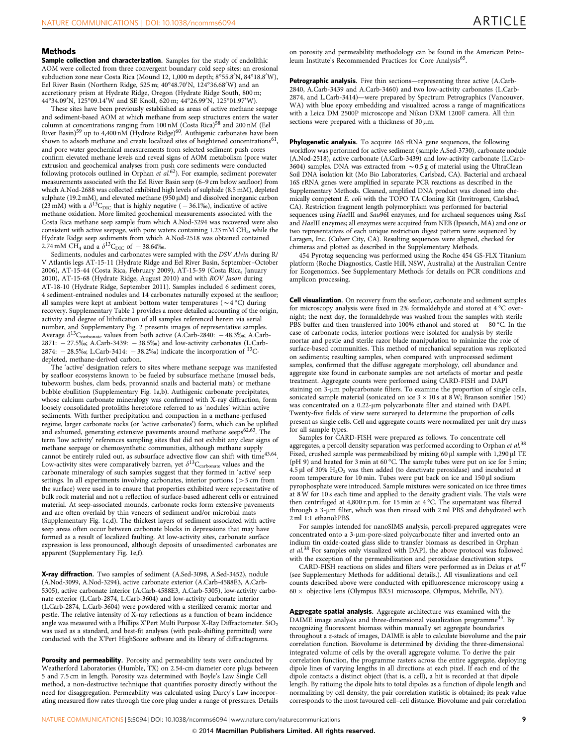#### **Methods**

Sample collection and characterization. Samples for the study of endolithic AOM were collected from three convergent boundary cold seep sites: an erosional subduction zone near Costa Rica (Mound 12, 1,000 m depth; 8°55.8′N, 84°18.8′W), Eel River Basin (Northern Ridge, 525 m; 40°48.70'N, 124°36.68'W) and an accretionary prism at Hydrate Ridge, Oregon (Hydrate Ridge South, 800 m; 44°34.09'N, 125°09.14'W and SE Knoll, 620 m; 44°26.99'N, 125°01.97'W).

These sites have been previously established as areas of active methane seepage and sediment-based AOM at which methane from seep structures enters the water column at concentrations ranging from 100 nM (Costa Rica)<sup>58</sup> and 200 nM (Eel River Basin)<sup>59</sup> up to 4,400 nM (Hydrate Ridge)<sup>60</sup>. Authigenic carbonates have been shown to adsorb methane and create localized sites of heightened concentrations<sup>61</sup>, and pore water geochemical measurements from selected sediment push cores confirm elevated methane levels and reveal signs of AOM metabolism (pore water extrusion and geochemical analyses from push core sediments were conducted following protocols outlined in Orphan  $et$   $al$ .<sup>62</sup>). For example, sediment porewater measurements associated with the Eel River Basin seep (6–9 cm below seafloor) from which A.Nod-2688 was collected exhibited high levels of sulphide (8.5 mM), depleted sulphate (19.2 mM), and elevated methane (950  $\mu$ M) and dissolved inorganic carbon (23 mM) with a  $\delta^{13}C_{\text{DIC}}$  that is highly negative ( – 36.1%), indicative of active methane oxidation. More limited geochemical measurements associated with the Costa Rica methane seep sample from which A.Nod-3294 was recovered were also consistent with active seepage, with pore waters containing  $1.23 \text{ mM } CH_4$ , while the Hydrate Ridge seep sediments from which A.Nod-2518 was obtained contained 2.74 mM CH<sub>4</sub> and a  $\delta^{13}C_{\text{DIC}}$  of  $-38.64\%$ .

Sediments, nodules and carbonates were sampled with the DSV Alvin during R/ V Atlantis legs AT-15-11 (Hydrate Ridge and Eel River Basin, September–October 2006), AT-15-44 (Costa Rica, February 2009), AT-15-59 (Costa Rica, January 2010), AT-15-68 (Hydrate Ridge, August 2010) and with ROV Jason during AT-18-10 (Hydrate Ridge, September 2011). Samples included 6 sediment cores, 4 sediment-entrained nodules and 14 carbonates naturally exposed at the seafloor; all samples were kept at ambient bottom water temperatures (  $\sim$  4 °C) during recovery. Supplementary Table 1 provides a more detailed accounting of the origin, activity and degree of lithification of all samples referenced herein via serial number, and Supplementary Fig. 2 presents images of representative samples. Average  $\delta^{13}C_{\rm carbonate}$  values from both active (A.Carb-2840: -48.3%; A.Carb-2871:  $-27.5\%$ ; A.Carb-3439:  $-38.5\%$ ) and low-activity carbonates (L.Carb-2874:  $-28.5\%$ ; L.Carb-3414:  $-38.2\%$ ) indicate the incorporation of <sup>13</sup>Cdepleted, methane-derived carbon.

The 'active' designation refers to sites where methane seepage was manifested by seafloor ecosystems known to be fueled by subsurface methane (mussel beds, tubeworm bushes, clam beds, provannid snails and bacterial mats) or methane bubble ebullition (Supplementary Fig. 1a,b). Authigenic carbonate precipitates, whose calcium carbonate mineralogy was confirmed with X-ray diffraction, form loosely consolidated protoliths heretofore referred to as 'nodules' within active sediments. With further precipitation and compaction in a methane-perfused regime, larger carbonate rocks (or 'active carbonates') form, which can be uplifted<br>and exhumed, generating extensive pavements around methane seeps<sup>62,63</sup>. The term 'low activity' references sampling sites that did not exhibit any clear signs of methane seepage or chemosynthetic communities, although methane supply cannot be entirely ruled out, as subsurface advective flow can shift with time<sup>[43,64](#page-11-0)</sup>. Low-activity sites were comparatively barren, yet  $\delta^{13}C_{\rm carbonate}$  values and the carbonate mineralogy of such samples suggest that they formed in 'active' seep settings. In all experiments involving carbonates, interior portions ( $>$ 5 cm from the surface) were used in to ensure that properties exhibited were representative of bulk rock material and not a reflection of surface-based adherent cells or entrained material. At seep-associated mounds, carbonate rocks form extensive pavements and are often overlaid by thin veneers of sediment and/or microbial mats (Supplementary Fig. 1c,d). The thickest layers of sediment associated with active seep areas often occur between carbonate blocks in depressions that may have formed as a result of localized faulting. At low-activity sites, carbonate surface expression is less pronounced, although deposits of unsedimented carbonates are apparent (Supplementary Fig. 1e,f).

X-ray diffraction. Two samples of sediment (A.Sed-3098, A.Sed-3452), nodule (A.Nod-3099, A.Nod-3294), active carbonate exterior (A.Carb-4588E3, A.Carb-5305), active carbonate interior (A.Carb-4588E3, A.Carb-5305), low-activity carbonate exterior (L.Carb-2874, L.Carb-3604) and low-activity carbonate interior (L.Carb-2874, L.Carb-3604) were powdered with a sterilized ceramic mortar and pestle. The relative intensity of X-ray reflections as a function of beam incidence angle was measured with a Phillips X'Pert Multi Purpose X-Ray Diffractometer.  $SiO<sub>2</sub>$ was used as a standard, and best-fit analyses (with peak-shifting permitted) were conducted with the X'Pert HighScore software and its library of diffractograms.

Porosity and permeability. Porosity and permeability tests were conducted by Weatherford Laboratories (Humble, TX) on 2.54-cm diameter core plugs between 5 and 7.5 cm in length. Porosity was determined with Boyle's Law Single Cell method, a non-destructive technique that quantifies porosity directly without the need for disaggregation. Permeability was calculated using Darcy's Law incorporating measured flow rates through the core plug under a range of pressures. Details on porosity and permeability methodology can be found in the American Petro-leum Institute's Recommended Practices for Core Analysis<sup>[65](#page-11-0)</sup>.

Petrographic analysis. Five thin sections—representing three active (A.Carb-2840, A.Carb-3439 and A.Carb-3460) and two low-activity carbonates (L.Carb-2874, and L.Carb-3414)—were prepared by Spectrum Petrographics (Vancouver, WA) with blue epoxy embedding and visualized across a range of magnifications with a Leica DM 2500P microscope and Nikon DXM 1200F camera. All thin sections were prepared with a thickness of  $30 \mu m$ .

**Phylogenetic analysis.** To acquire 16S rRNA gene sequences, the following workflow was performed for active sediment (sample A.Sed-3730), carbonate nodule (A.Nod-2518), active carbonate (A.Carb-3439) and low-activity carbonate (L.Carb-3604) samples. DNA was extracted from  $\sim 0.5$  g of material using the UltraClean Soil DNA isolation kit (Mo Bio Laboratories, Carlsbad, CA). Bacterial and archaeal 16S rRNA genes were amplified in separate PCR reactions as described in the Supplementary Methods. Cleaned, amplified DNA product was cloned into chemically competent E. coli with the TOPO TA Cloning Kit (Invitrogen, Carlsbad, CA). Restriction fragment length polymorphism was performed for bacterial sequences using HaeIII and Sau96I enzymes, and for archaeal sequences using RsaI and HaeIII enzymes; all enzymes were acquired from NEB (Ipswich, MA) and one or two representatives of each unique restriction digest pattern were sequenced by Laragen, Inc. (Culver City, CA). Resulting sequences were aligned, checked for chimeras and plotted as described in the Supplementary Methods.

454 Pyrotag sequencing was performed using the Roche 454 GS-FLX Titanium platform (Roche Diagnostics, Castle Hill, NSW, Australia) at the Australian Centre for Ecogenomics. See Supplementary Methods for details on PCR conditions and amplicon processing.

Cell visualization. On recovery from the seafloor, carbonate and sediment samples for microscopy analysis were fixed in 2% formaldehyde and stored at  $4^{\circ}$ C overnight; the next day, the formaldehyde was washed from the samples with sterile PBS buffer and then transferred into 100% ethanol and stored at  $-80^{\circ}$ C. In the case of carbonate rocks, interior portions were isolated for analysis by sterile mortar and pestle and sterile razor blade manipulation to minimize the role of surface-based communities. This method of mechanical separation was replicated on sediments; resulting samples, when compared with unprocessed sediment samples, confirmed that the diffuse aggregate morphology, cell abundance and aggregate size found in carbonate samples are not artefacts of mortar and pestle treatment. Aggregate counts were performed using CARD-FISH and DAPI staining on 3-µm polycarbonate filters. To examine the proportion of single cells, sonicated sample material (sonicated on ice  $3 \times 10$  s at 8 W; Branson sonifier 150) was concentrated on a 0.22-um polycarbonate filter and stained with DAPI. Twenty-five fields of view were surveyed to determine the proportion of cells present as single cells. Cell and aggregate counts were normalized per unit dry mass for all sample types.

Samples for CARD-FISH were prepared as follows. To concentrate cell aggregates, a percoll density separation was performed according to Orphan et  $al$ .<sup>[38](#page-11-0)</sup> Fixed, crushed sample was permeabilized by mixing 60  $\mu$ l sample with 1,290  $\mu$ l TE (pH 9) and heated for 3 min at 60 °C. The sample tubes were put on ice for 5 min;  $4.5 \mu$ l of 30% H<sub>2</sub>O<sub>2</sub> was then added (to deactivate peroxidase) and incubated at room temperature for 10 min. Tubes were put back on ice and 150 µl sodium pyrophosphate were introduced. Sample mixtures were sonicated on ice three times at 8 W for 10 s each time and applied to the density gradient vials. The vials were then centrifuged at  $4,800$  r.p.m. for 15 min at  $4^{\circ}$ C. The supernatant was filtered through a 3-um filter, which was then rinsed with 2 ml PBS and dehydrated with 2 ml 1:1 ethanol:PBS.

For samples intended for nanoSIMS analysis, percoll-prepared aggregates were concentrated onto a 3-µm-pore-sized polycarbonate filter and inverted onto an indium tin oxide-coated glass slide to transfer biomass as described in Orphan et al.<sup>[38](#page-11-0)</sup> For samples only visualized with DAPI, the above protocol was followed with the exception of the permeabilization and peroxidase deactivation steps.

CARD-FISH reactions on slides and filters were performed as in Dekas et al.<sup>[47](#page-11-0)</sup> (see Supplementary Methods for additional details.). All visualizations and cell counts described above were conducted with epifluorescence microscopy using a  $60 \times$  objective lens (Olympus BX51 microscope, Olympus, Melville, NY).

Aggregate spatial analysis. Aggregate architecture was examined with the DAIME image analysis and three-dimensional visualization programme<sup>33</sup>. By recognizing fluorescent biomass within manually set aggregate boundaries throughout a z-stack of images, DAIME is able to calculate biovolume and the pair correlation function. Biovolume is determined by dividing the three-dimensional integrated volume of cells by the overall aggregate volume. To derive the pair correlation function, the programme rasters across the entire aggregate, deploying dipole lines of varying lengths in all directions at each pixel. If each end of the dipole contacts a distinct object (that is, a cell), a hit is recorded at that dipole length. By ratioing the dipole hits to total dipoles as a function of dipole length and normalizing by cell density, the pair correlation statistic is obtained; its peak value corresponds to the most favoured cell–cell distance. Biovolume and pair correlation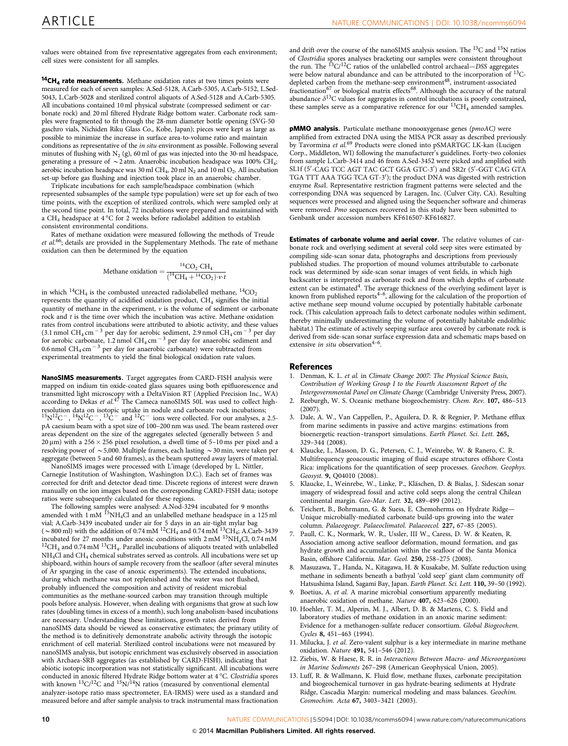<span id="page-10-0"></span>values were obtained from five representative aggregates from each environment; cell sizes were consistent for all samples.

 $14CH<sub>4</sub>$  rate measurements. Methane oxidation rates at two times points were measured for each of seven samples: A.Sed-5128, A.Carb-5305, A.Carb-5152, L.Sed-5043, L.Carb-5028 and sterilized control aliquots of A.Sed-5128 and A.Carb-5305. All incubations contained 10 ml physical substrate (compressed sediment or carbonate rock) and 20 ml filtered Hydrate Ridge bottom water. Carbonate rock samples were fragmented to fit through the 28-mm diameter bottle opening (SVG-50 gaschro vials, Nichiden Riku Glass Co., Kobe, Japan); pieces were kept as large as possible to minimize the increase in surface area-to-volume ratio and maintain conditions as representative of the in situ environment as possible. Following several minutes of flushing with  $N_2$  (g), 60 ml of gas was injected into the 30-ml headspace, generating a pressure of  $\sim$  2 atm. Anaerobic incubation headspace was 100% CH<sub>4</sub>; aerobic incubation headspace was 30 ml CH<sub>4</sub>, 20 ml N<sub>2</sub> and 10 ml O<sub>2</sub>. All incubation set-up before gas flushing and injection took place in an anaerobic chamber.

Triplicate incubations for each sample/headspace combination (which represented subsamples of the sample type population) were set up for each of two time points, with the exception of sterilized controls, which were sampled only at the second time point. In total, 72 incubations were prepared and maintained with a  $\text{CH}_4$  headspace at 4 °C for 2 weeks before radiolabel addition to establish consistent environmental conditions.

Rates of methane oxidation were measured following the methods of Treude et al.<sup>[66](#page-11-0)</sup>; details are provided in the Supplementary Methods. The rate of methane oxidation can then be determined by the equation

$$
\text{Method on } = \frac{{}^{14}\text{CO}_2 \cdot \text{CH}_4}{{}^{14}\text{CH}_4 + {}^{14}\text{CO}_2 \cdot \text{V} \cdot \text{V}}
$$

in which  $^{14}CH_4$  is the combusted unreacted radiolabelled methane,  $^{14}CO_2$ represents the quantity of acidified oxidation product, CH<sub>4</sub> signifies the initial quantity of methane in the experiment,  $\nu$  is the volume of sediment or carbonate rock and t is the time over which the incubation was active. Methane oxidation rates from control incubations were attributed to abiotic activity, and these values (3.1 nmol CH<sub>4</sub> cm<sup>-3</sup> per day for aerobic sediment, 2.9 nmol CH<sub>4</sub> cm<sup>-3</sup> per day (3.1 nmol CH<sub>4</sub> cm<sup>-3</sup> per day for aerobic sediment, 2.9 nmol CH<sub>4</sub> cm<sup>-3</sup> for aerobic carbonate, 1.2 nmol  $CH_4$  cm<sup>-3</sup> per day for anaerobic sediment and 0.6 nmol  $\text{CH}_4 \text{ cm}^{-3}$  per day for anaerobic carbonate) were subtracted from experimental treatments to yield the final biological oxidation rate values.

NanoSIMS measurements. Target aggregates from CARD-FISH analysis were mapped on indium tin oxide-coated glass squares using both epifluorescence and transmitted light microscopy with a DeltaVision RT (Applied Precision Inc., WA)<br>according to Dekas *et al.<sup>[47](#page-11-0)</sup>* The Cameca nanoSIMS 50L was used to collect highresolution data on isotopic uptake in nodule and carbonate rock incubations;<br><sup>15</sup>N<sup>12</sup>C <sup>-</sup>, <sup>14</sup>N<sup>12</sup>C <sup>-</sup>, <sup>13</sup>C <sup>-</sup> and <sup>12</sup>C <sup>-</sup> ions were collected. For our analyses, a 2.5pA caesium beam with a spot size of 100–200 nm was used. The beam rastered over areas dependent on the size of the aggregates selected (generally between 5 and 20  $\mu$ m) with a 256  $\times$  256 pixel resolution, a dwell time of 5–10 ms per pixel and a resolving power of  $\sim$  5,000. Multiple frames, each lasting  $\sim$  30 min, were taken per aggregate (between 5 and 60 frames), as the beam sputtered away layers of material.

NanoSIMS images were processed with L'image (developed by L. Nittler, Carnegie Institution of Washington, Washington D.C.). Each set of frames was corrected for drift and detector dead time. Discrete regions of interest were drawn manually on the ion images based on the corresponding CARD-FISH data; isotope ratios were subsequently calculated for these regions.

The following samples were analysed: A.Nod-3294 incubated for 9 months amended with 1 mM <sup>15</sup>NH<sub>4</sub>Cl and an unlabelled methane headspace in a 125 ml vial; A.Carb-3439 incubated under air for 5 days in an air-tight mylar bag ( $\sim$  800 ml) with the addition of 0.74 mM <sup>12</sup>CH<sub>4</sub> and 0.74 mM <sup>13</sup>CH<sub>4</sub>; A.Carb-3439 incubated for 27 months under anoxic conditions with 2 mM <sup>15</sup>NH<sub>4</sub>Cl, 0.74 mM <sup>12</sup>CH<sub>4</sub> and 0.74 mM <sup>13</sup>CH<sub>4</sub>. Parallel incubations of aliquots treated with unlabelled NH4Cl and CH4 chemical substrates served as controls. All incubations were set up shipboard, within hours of sample recovery from the seafloor (after several minutes of Ar sparging in the case of anoxic experiments). The extended incubations, during which methane was not replenished and the water was not flushed, probably influenced the composition and activity of resident microbial communities as the methane-sourced carbon may transition through multiple pools before analysis. However, when dealing with organisms that grow at such low rates (doubling times in excess of a month), such long anabolism-based incubations are necessary. Understanding these limitations, growth rates derived from nanoSIMS data should be viewed as conservative estimates; the primary utility of the method is to definitively demonstrate anabolic activity through the isotopic enrichment of cell material. Sterilized control incubations were not measured by nanoSIMS analysis, but isotopic enrichment was exclusively observed in association with Archaea-SRB aggregates (as established by CARD-FISH), indicating that abiotic isotopic incorporation was not statistically significant. All incubations were conducted in anoxic filtered Hydrate Ridge bottom water at 4 °C. Clostridia spores with known  ${}^{13}C/{}^{12}C$  and  ${}^{15}N/{}^{14}N$  ratios (measured by conventional elemental analyzer-isotope ratio mass spectrometer, EA-IRMS) were used as a standard and measured before and after sample analysis to track instrumental mass fractionation

and drift over the course of the nanoSIMS analysis session. The  $^{13}$ C and  $^{15}$ N ratios of *Clostridia* spores analyses bracketing our samples were consistent throughout the run. The  ${}^{13}C/{}^{12}C$  ratios of the unlabelled control archaeal—DSS aggregates were below natural abundance and can be attributed to the incorporation of  $^{13}$ Cdepleted carbon from the methane-seep environment<sup>48</sup>, instrument-associated fractionation[67](#page-11-0) or biological matrix effects[68](#page-11-0). Although the accuracy of the natural abundance  $\delta^{13}$ C values for aggregates in control incubations is poorly constrained, these samples serve as a comparative reference for our  ${}^{13}CH_4$  amended samples.

pMMO analysis. Particulate methane monooxygenase genes (pmoAC) were amplified from extracted DNA using the MISA PCR assay as described previously by Tavormina et al.<sup>[69](#page-12-0)</sup> Products were cloned into pSMARTGC LK-kan (Lucigen Corp., Middleton, WI) following the manufacturer's guidelines. Forty-two colonies from sample L.Carb-3414 and 46 from A.Sed-3452 were picked and amplified with SL1f (5'-CAG TCC AGT TAC GCT GGA GTC-3') and SR2r (5'-GGT CAG GTA TGA TTT AAA TGG TCA GT-3'); the product DNA was digested with restriction enzyme RsaI. Representative restriction fragment patterns were selected and the corresponding DNA was sequenced by Laragen, Inc. (Culver City, CA). Resulting sequences were processed and aligned using the Sequencher software and chimeras were removed. Pmo sequences recovered in this study have been submitted to Genbank under accession numbers KF616507-KF616827.

Estimates of carbonate volume and aerial cover. The relative volumes of carbonate rock and overlying sediment at several cold seep sites were estimated by compiling side-scan sonar data, photographs and descriptions from previously published studies. The proportion of mound volumes attributable to carbonate rock was determined by side-scan sonar images of vent fields, in which high backscatter is interpreted as carbonate rock and from which depths of carbonate extent can be estimated<sup>4</sup>. The average thickness of the overlying sediment layer is known from published reports<sup>4–6</sup>, allowing for the calculation of the proportion of active methane seep mound volume occupied by potentially habitable carbonate rock. (This calculation approach fails to detect carbonate nodules within sediment, thereby minimally underestimating the volume of potentially habitable endolithic habitat.) The estimate of actively seeping surface area covered by carbonate rock is derived from side-scan sonar surface expression data and schematic maps based on extensive in situ observation<sup>4-6</sup>.

#### References

- 1. Denman, K. L. et al. in Climate Change 2007: The Physical Science Basis, Contribution of Working Group I to the Fourth Assessment Report of the Intergovernmental Panel on Climate Change (Cambridge University Press, 2007).
- 2. Reeburgh, W. S. Oceanic methane biogeochemistry. Chem. Rev. 107, 486–513 (2007).
- 3. Dale, A. W., Van Cappellen, P., Aguilera, D. R. & Regnier, P. Methane efflux from marine sediments in passive and active margins: estimations from bioenergetic reaction–transport simulations. Earth Planet. Sci. Lett. 265, 329–344 (2008).
- 4. Klaucke, I., Masson, D. G., Petersen, C. J., Weinrebe, W. & Ranero, C. R. Multifrequency geoacoustic imaging of fluid escape structures offshore Costa Rica: implications for the quantification of seep processes. Geochem. Geophys. Geosyst. 9, Q04010 (2008).
- 5. Klaucke, I., Weinrebe, W., Linke, P., Kläschen, D. & Bialas, J. Sidescan sonar imagery of widespread fossil and active cold seeps along the central Chilean continental margin. Geo-Mar. Lett. 32, 489–499 (2012).
- Teichert, B., Bohrmann, G. & Suess, E. Chemoherms on Hydrate Ridge-Unique microbially-mediated carbonate build-ups growing into the water column. Palaeogeogr. Palaeoclimatol. Palaeoecol. 227, 67–85 (2005).
- 7. Paull, C. K., Normark, W. R., Ussler, III W., Caress, D. W. & Keaten, R. Association among active seafloor deformation, mound formation, and gas hydrate growth and accumulation within the seafloor of the Santa Monica Basin, offshore California. Mar. Geol. 250, 258–275 (2008).
- 8. Masuzawa, T., Handa, N., Kitagawa, H. & Kusakabe, M. Sulfate reduction using methane in sediments beneath a bathyal 'cold seep' giant clam community off Hatsushima Island, Sagami Bay, Japan. Earth Planet. Sci. Lett. 110, 39–50 (1992).
- Boetius, A. et al. A marine microbial consortium apparently mediating anaerobic oxidation of methane. Nature 407, 623–626 (2000).
- 10. Hoehler, T. M., Alperin, M. J., Albert, D. B. & Martens, C. S. Field and laboratory studies of methane oxidation in an anoxic marine sediment: Evidence for a methanogen-sulfate reducer consortium. Global Biogeochem. Cycles 8, 451–463 (1994).
- 11. Milucka, J. et al. Zero-valent sulphur is a key intermediate in marine methane oxidation. Nature 491, 541–546 (2012).
- 12. Ziebis, W. & Haese, R. R. in Interactions Between Macro- and Microorganisms in Marine Sediments 267–298 (American Geophysical Union, 2005).
- 13. Luff, R. & Wallmann, K. Fluid flow, methane fluxes, carbonate precipitation and biogeochemical turnover in gas hydrate-bearing sediments at Hydrate Ridge, Cascadia Margin: numerical modeling and mass balances. Geochim. Cosmochim. Acta 67, 3403–3421 (2003).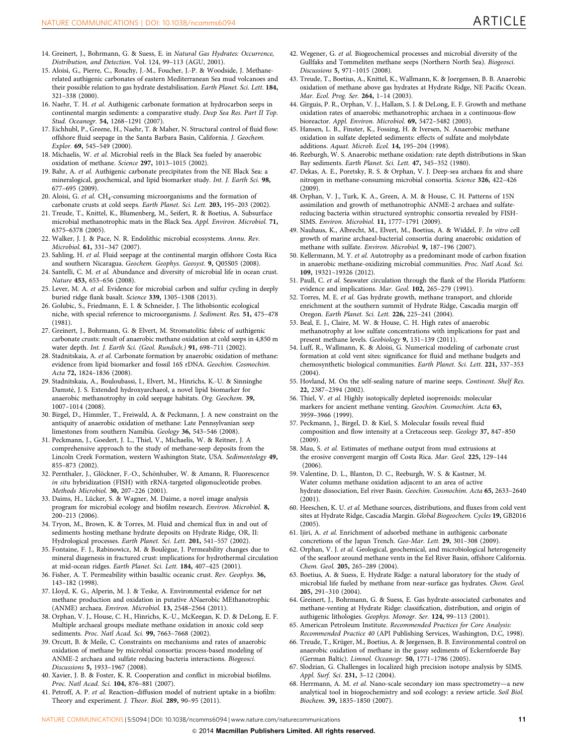- <span id="page-11-0"></span>14. Greinert, J., Bohrmann, G. & Suess, E. in Natural Gas Hydrates: Occurrence, Distribution, and Detection. Vol. 124, 99–113 (AGU, 2001).
- 15. Aloisi, G., Pierre, C., Rouchy, J.-M., Foucher, J.-P. & Woodside, J. Methanerelated authigenic carbonates of eastern Mediterranean Sea mud volcanoes and their possible relation to gas hydrate destabilisation. Earth Planet. Sci. Lett. 184, 321–338 (2000).
- 16. Naehr, T. H. et al. Authigenic carbonate formation at hydrocarbon seeps in continental margin sediments: a comparative study. Deep Sea Res. Part II Top. Stud. Oceanogr. 54, 1268–1291 (2007).
- 17. Eichhubl, P., Greene, H., Naehr, T. & Maher, N. Structural control of fluid flow: offshore fluid seepage in the Santa Barbara Basin, California. J. Geochem. Explor. 69, 545–549 (2000).
- 18. Michaelis, W. et al. Microbial reefs in the Black Sea fueled by anaerobic oxidation of methane. Science 297, 1013–1015 (2002).
- 19. Bahr, A. et al. Authigenic carbonate precipitates from the NE Black Sea: a mineralogical, geochemical, and lipid biomarker study. Int. J. Earth Sci. 98, 677–695 (2009).
- 20. Aloisi, G. et al.  $CH_4$ -consuming microorganisms and the formation of carbonate crusts at cold seeps. Earth Planet. Sci. Lett. 203, 195–203 (2002).
- 21. Treude, T., Knittel, K., Blumenberg, M., Seifert, R. & Boetius, A. Subsurface microbial methanotrophic mats in the Black Sea. Appl. Environ. Microbiol. 71, 6375–6378 (2005).
- 22. Walker, J. J. & Pace, N. R. Endolithic microbial ecosystems. Annu. Rev. Microbiol. 61, 331–347 (2007).
- 23. Sahling, H. et al. Fluid seepage at the continental margin offshore Costa Rica and southern Nicaragua. Geochem. Geophys. Geosyst. 9, Q05S05 (2008).
- 24. Santelli, C. M. et al. Abundance and diversity of microbial life in ocean crust. Nature 453, 653–656 (2008).
- 25. Lever, M. A. et al. Evidence for microbial carbon and sulfur cycling in deeply buried ridge flank basalt. Science 339, 1305–1308 (2013).
- 26. Golubic, S., Friedmann, E. I. & Schneider, J. The lithobiontic ecological niche, with special reference to microorganisms. J. Sediment. Res. 51, 475–478 (1981).
- 27. Greinert, J., Bohrmann, G. & Elvert, M. Stromatolitic fabric of authigenic carbonate crusts: result of anaerobic methane oxidation at cold seeps in 4,850 m water depth. Int. J. Earth Sci. (Geol. Rundsch.) 91, 698–711 (2002).
- 28. Stadnitskaia, A. et al. Carbonate formation by anaerobic oxidation of methane: evidence from lipid biomarker and fossil 16S rDNA. Geochim. Cosmochim. Acta 72, 1824–1836 (2008).
- 29. Stadnitskaia, A., Bouloubassi, I., Elvert, M., Hinrichs, K.-U. & Sinninghe Damsté, J. S. Extended hydroxyarchaeol, a novel lipid biomarker for anaerobic methanotrophy in cold seepage habitats. Org. Geochem. 39, 1007–1014 (2008).
- 30. Birgel, D., Himmler, T., Freiwald, A. & Peckmann, J. A new constraint on the antiquity of anaerobic oxidation of methane: Late Pennsylvanian seep limestones from southern Namibia. Geology 36, 543–546 (2008).
- 31. Peckmann, J., Goedert, J. L., Thiel, V., Michaelis, W. & Reitner, J. A comprehensive approach to the study of methane-seep deposits from the Lincoln Creek Formation, western Washington State, USA. Sedimentology 49, 855–873 (2002).
- 32. Pernthaler, J., Glöckner, F.-O., Schönhuber, W. & Amann, R. Fluorescence in situ hybridization (FISH) with rRNA-targeted oligonucleotide probes. Methods Microbiol. 30, 207–226 (2001).
- 33. Daims, H., Lücker, S. & Wagner, M. Daime, a novel image analysis program for microbial ecology and biofilm research. Environ. Microbiol. 8, 200–213 (2006).
- 34. Tryon, M., Brown, K. & Torres, M. Fluid and chemical flux in and out of sediments hosting methane hydrate deposits on Hydrate Ridge, OR, II: Hydrological processes. Earth Planet. Sci. Lett. 201, 541–557 (2002).
- 35. Fontaine, F. J., Rabinowicz, M. & Boulègue, J. Permeability changes due to mineral diagenesis in fractured crust: implications for hydrothermal circulation at mid-ocean ridges. Earth Planet. Sci. Lett. 184, 407–425 (2001).
- 36. Fisher, A. T. Permeability within basaltic oceanic crust. Rev. Geophys. 36, 143–182 (1998).
- 37. Lloyd, K. G., Alperin, M. J. & Teske, A. Environmental evidence for net methane production and oxidation in putative ANaerobic MEthanotrophic (ANME) archaea. Environ. Microbiol. 13, 2548–2564 (2011).
- 38. Orphan, V. J., House, C. H., Hinrichs, K.-U., McKeegan, K. D. & DeLong, E. F. Multiple archaeal groups mediate methane oxidation in anoxic cold seep sediments. Proc. Natl Acad. Sci. 99, 7663–7668 (2002).
- 39. Orcutt, B. & Meile, C. Constraints on mechanisms and rates of anaerobic oxidation of methane by microbial consortia: process-based modeling of ANME-2 archaea and sulfate reducing bacteria interactions. Biogeosci. Discussions 5, 1933–1967 (2008).
- 40. Xavier, J. B. & Foster, K. R. Cooperation and conflict in microbial biofilms. Proc. Natl Acad. Sci. 104, 876–881 (2007).
- 41. Petroff, A. P. et al. Reaction–diffusion model of nutrient uptake in a biofilm: Theory and experiment. J. Theor. Biol. 289, 90–95 (2011).
- 42. Wegener, G. et al. Biogeochemical processes and microbial diversity of the Gullfaks and Tommeliten methane seeps (Northern North Sea). Biogeosci. Discussions 5, 971–1015 (2008).
- 43. Treude, T., Boetius, A., Knittel, K., Wallmann, K. & Joergensen, B. B. Anaerobic oxidation of methane above gas hydrates at Hydrate Ridge, NE Pacific Ocean. Mar. Ecol. Prog. Ser. 264, 1–14 (2003).
- 44. Girguis, P. R., Orphan, V. J., Hallam, S. J. & DeLong, E. F. Growth and methane oxidation rates of anaerobic methanotrophic archaea in a continuous-flow bioreactor. Appl. Environ. Microbiol. 69, 5472–5482 (2003).
- 45. Hansen, L. B., Finster, K., Fossing, H. & Iversen, N. Anaerobic methane oxidation in sulfate depleted sediments: effects of sulfate and molybdate additions. Aquat. Microb. Ecol. 14, 195–204 (1998).
- 46. Reeburgh, W. S. Anaerobic methane oxidation: rate depth distributions in Skan Bay sediments. Earth Planet. Sci. Lett. 47, 345–352 (1980).
- 47. Dekas, A. E., Poretsky, R. S. & Orphan, V. J. Deep-sea archaea fix and share nitrogen in methane-consuming microbial consortia. Science 326, 422–426 (2009).
- 48. Orphan, V. J., Turk, K. A., Green, A. M. & House, C. H. Patterns of 15N assimilation and growth of methanotrophic ANME-2 archaea and sulfatereducing bacteria within structured syntrophic consortia revealed by FISH-SIMS. Environ. Microbiol. 11, 1777–1791 (2009).
- 49. Nauhaus, K., Albrecht, M., Elvert, M., Boetius, A. & Widdel, F. In vitro cell growth of marine archaeal-bacterial consortia during anaerobic oxidation of methane with sulfate. Environ. Microbiol. 9, 187–196 (2007).
- 50. Kellermann, M. Y. et al. Autotrophy as a predominant mode of carbon fixation in anaerobic methane-oxidizing microbial communities. Proc. Natl Acad. Sci. 109, 19321–19326 (2012).
- 51. Paull, C. et al. Seawater circulation through the flank of the Florida Platform: evidence and implications. Mar. Geol. 102, 265–279 (1991).
- 52. Torres, M. E. et al. Gas hydrate growth, methane transport, and chloride enrichment at the southern summit of Hydrate Ridge, Cascadia margin off Oregon. Earth Planet. Sci. Lett. 226, 225–241 (2004).
- 53. Beal, E. J., Claire, M. W. & House, C. H. High rates of anaerobic methanotrophy at low sulfate concentrations with implications for past and present methane levels. Geobiology 9, 131–139 (2011).
- 54. Luff, R., Wallmann, K. & Aloisi, G. Numerical modeling of carbonate crust formation at cold vent sites: significance for fluid and methane budgets and chemosynthetic biological communities. Earth Planet. Sci. Lett. 221, 337–353 (2004).
- 55. Hovland, M. On the self-sealing nature of marine seeps. Continent. Shelf Res. 22, 2387–2394 (2002).
- 56. Thiel, V. et al. Highly isotopically depleted isoprenoids: molecular markers for ancient methane venting. Geochim. Cosmochim. Acta 63, 3959–3966 (1999).
- 57. Peckmann, J., Birgel, D. & Kiel, S. Molecular fossils reveal fluid composition and flow intensity at a Cretaceous seep. Geology 37, 847–850 (2009).
- 58. Mau, S. et al. Estimates of methane output from mud extrusions at the erosive convergent margin off Costa Rica. Mar. Geol. 225, 129–144 (2006).
- 59. Valentine, D. L., Blanton, D. C., Reeburgh, W. S. & Kastner, M. Water column methane oxidation adjacent to an area of active hydrate dissociation, Eel river Basin. Geochim. Cosmochim. Acta 65, 2633–2640 (2001).
- 60. Heeschen, K. U. et al. Methane sources, distributions, and fluxes from cold vent sites at Hydrate Ridge, Cascadia Margin. Global Biogeochem. Cycles 19, GB2016 (2005).
- 61. Ijiri, A. et al. Enrichment of adsorbed methane in authigenic carbonate concretions of the Japan Trench. Geo-Mar. Lett. 29, 301–308 (2009).
- 62. Orphan, V. J. et al. Geological, geochemical, and microbiological heterogeneity of the seafloor around methane vents in the Eel River Basin, offshore California. Chem. Geol. 205, 265–289 (2004).
- 63. Boetius, A. & Suess, E. Hydrate Ridge: a natural laboratory for the study of microbial life fueled by methane from near-surface gas hydrates. Chem. Geol. 205, 291–310 (2004).
- 64. Greinert, J., Bohrmann, G. & Suess, E. Gas hydrate-associated carbonates and methane-venting at Hydrate Ridge: classification, distribution, and origin of authigenic lithologies. Geophys. Monogr. Ser. 124, 99–113 (2001).
- 65. American Petroleum Institute. Recommended Practices for Core Analysis: Recommended Practice 40 (API Publishing Services, Washington, D.C, 1998).
- 66. Treude, T., Krüger, M., Boetius, A. & Jørgensen, B. B. Environmental control on anaerobic oxidation of methane in the gassy sediments of Eckernfoerde Bay (German Baltic). Limnol. Oceanogr. 50, 1771–1786 (2005).
- 67. Slodzian, G. Challenges in localized high precision isotope analysis by SIMS. Appl. Surf. Sci. 231, 3–12 (2004).
- 68. Herrmann, A. M. et al. Nano-scale secondary ion mass spectrometry—a new analytical tool in biogeochemistry and soil ecology: a review article. Soil Biol. Biochem. 39, 1835–1850 (2007).

NATURE COMMUNICATIONS | 5:5094 | DOI: 10.1038/ncomms6094 | [www.nature.com/naturecommunications](http://www.nature.com/naturecommunications) 11